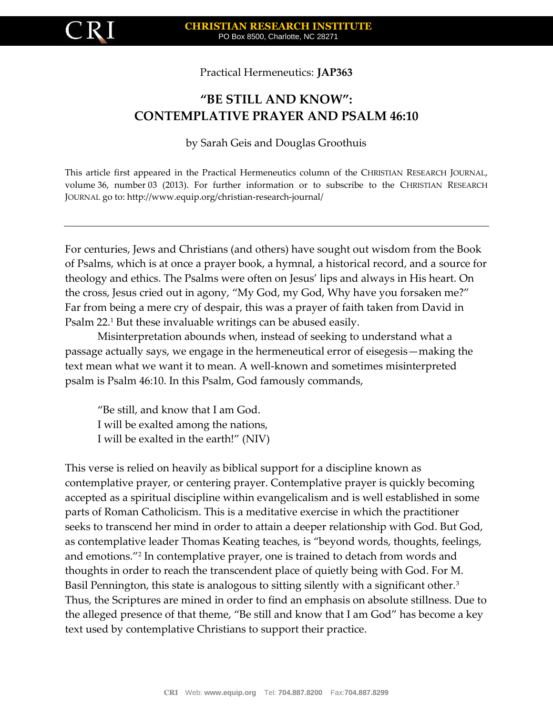

Practical Hermeneutics: **JAP363**

## **"BE STILL AND KNOW": CONTEMPLATIVE PRAYER AND PSALM 46:10**

by Sarah Geis and Douglas Groothuis

This article first appeared in the Practical Hermeneutics column of the CHRISTIAN RESEARCH JOURNAL, volume 36, number 03 (2013). For further information or to subscribe to the CHRISTIAN RESEARCH JOURNAL go to: http://www.equip.org/christian-research-journal/

For centuries, Jews and Christians (and others) have sought out wisdom from the Book of Psalms, which is at once a prayer book, a hymnal, a historical record, and a source for theology and ethics. The Psalms were often on Jesus' lips and always in His heart. On the cross, Jesus cried out in agony, "My God, my God, Why have you forsaken me?" Far from being a mere cry of despair, this was a prayer of faith taken from David in Psalm 22.<sup>1</sup> But these invaluable writings can be abused easily.

Misinterpretation abounds when, instead of seeking to understand what a passage actually says, we engage in the hermeneutical error of eisegesis—making the text mean what we want it to mean. A well-known and sometimes misinterpreted psalm is Psalm 46:10. In this Psalm, God famously commands,

"Be still, and know that I am God. I will be exalted among the nations, I will be exalted in the earth!" (NIV)

This verse is relied on heavily as biblical support for a discipline known as contemplative prayer, or centering prayer. Contemplative prayer is quickly becoming accepted as a spiritual discipline within evangelicalism and is well established in some parts of Roman Catholicism. This is a meditative exercise in which the practitioner seeks to transcend her mind in order to attain a deeper relationship with God. But God, as contemplative leader Thomas Keating teaches, is "beyond words, thoughts, feelings, and emotions."<sup>2</sup> In contemplative prayer, one is trained to detach from words and thoughts in order to reach the transcendent place of quietly being with God. For M. Basil Pennington, this state is analogous to sitting silently with a significant other.<sup>3</sup> Thus, the Scriptures are mined in order to find an emphasis on absolute stillness. Due to the alleged presence of that theme, "Be still and know that I am God" has become a key text used by contemplative Christians to support their practice.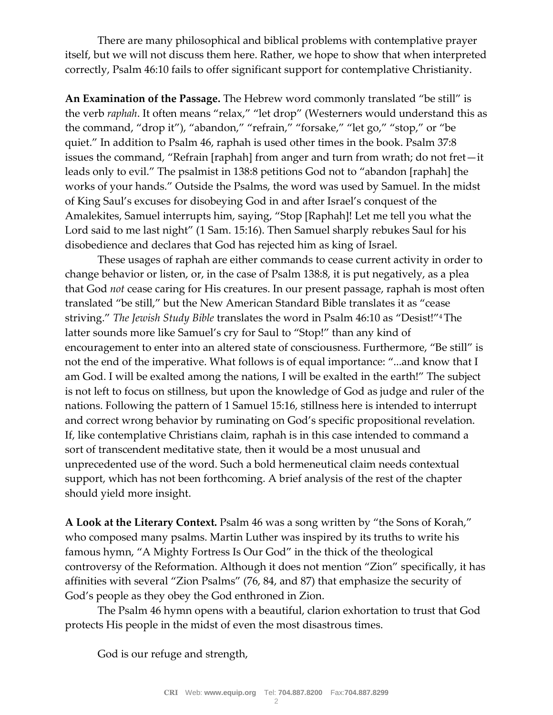There are many philosophical and biblical problems with contemplative prayer itself, but we will not discuss them here. Rather, we hope to show that when interpreted correctly, Psalm 46:10 fails to offer significant support for contemplative Christianity.

**An Examination of the Passage.** The Hebrew word commonly translated "be still" is the verb *raphah*. It often means "relax," "let drop" (Westerners would understand this as the command, "drop it"), "abandon," "refrain," "forsake," "let go," "stop," or "be quiet." In addition to Psalm 46, raphah is used other times in the book. Psalm 37:8 issues the command, "Refrain [raphah] from anger and turn from wrath; do not fret—it leads only to evil." The psalmist in 138:8 petitions God not to "abandon [raphah] the works of your hands." Outside the Psalms, the word was used by Samuel. In the midst of King Saul's excuses for disobeying God in and after Israel's conquest of the Amalekites, Samuel interrupts him, saying, "Stop [Raphah]! Let me tell you what the Lord said to me last night" (1 Sam. 15:16). Then Samuel sharply rebukes Saul for his disobedience and declares that God has rejected him as king of Israel.

These usages of raphah are either commands to cease current activity in order to change behavior or listen, or, in the case of Psalm 138:8, it is put negatively, as a plea that God *not* cease caring for His creatures. In our present passage, raphah is most often translated "be still," but the New American Standard Bible translates it as "cease striving." *The Jewish Study Bible* translates the word in Psalm 46:10 as "Desist!"4 The latter sounds more like Samuel's cry for Saul to "Stop!" than any kind of encouragement to enter into an altered state of consciousness. Furthermore, "Be still" is not the end of the imperative. What follows is of equal importance: "...and know that I am God. I will be exalted among the nations, I will be exalted in the earth!" The subject is not left to focus on stillness, but upon the knowledge of God as judge and ruler of the nations. Following the pattern of 1 Samuel 15:16, stillness here is intended to interrupt and correct wrong behavior by ruminating on God's specific propositional revelation. If, like contemplative Christians claim, raphah is in this case intended to command a sort of transcendent meditative state, then it would be a most unusual and unprecedented use of the word. Such a bold hermeneutical claim needs contextual support, which has not been forthcoming. A brief analysis of the rest of the chapter should yield more insight.

**A Look at the Literary Context.** Psalm 46 was a song written by "the Sons of Korah," who composed many psalms. Martin Luther was inspired by its truths to write his famous hymn, "A Mighty Fortress Is Our God" in the thick of the theological controversy of the Reformation. Although it does not mention "Zion" specifically, it has affinities with several "Zion Psalms" (76, 84, and 87) that emphasize the security of God's people as they obey the God enthroned in Zion.

The Psalm 46 hymn opens with a beautiful, clarion exhortation to trust that God protects His people in the midst of even the most disastrous times.

God is our refuge and strength,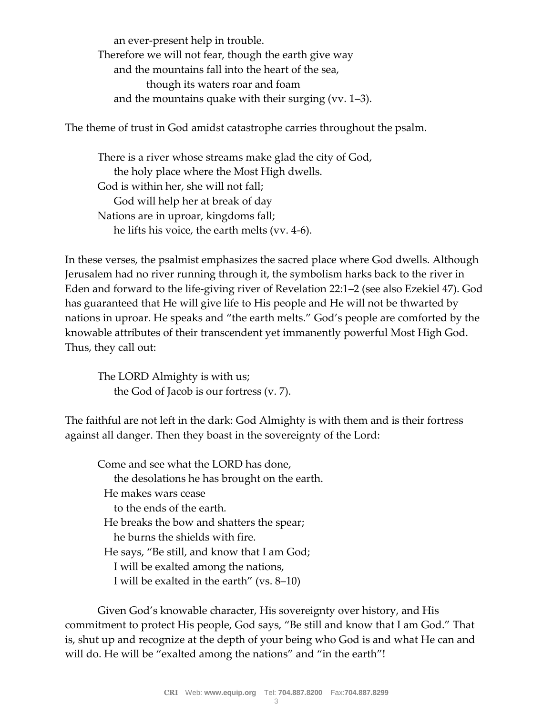an ever-present help in trouble. Therefore we will not fear, though the earth give way and the mountains fall into the heart of the sea, though its waters roar and foam and the mountains quake with their surging (vv. 1–3).

The theme of trust in God amidst catastrophe carries throughout the psalm.

There is a river whose streams make glad the city of God, the holy place where the Most High dwells. God is within her, she will not fall; God will help her at break of day Nations are in uproar, kingdoms fall; he lifts his voice, the earth melts (vv. 4-6).

In these verses, the psalmist emphasizes the sacred place where God dwells. Although Jerusalem had no river running through it, the symbolism harks back to the river in Eden and forward to the life-giving river of Revelation 22:1–2 (see also Ezekiel 47). God has guaranteed that He will give life to His people and He will not be thwarted by nations in uproar. He speaks and "the earth melts." God's people are comforted by the knowable attributes of their transcendent yet immanently powerful Most High God. Thus, they call out:

The LORD Almighty is with us; the God of Jacob is our fortress (v. 7).

The faithful are not left in the dark: God Almighty is with them and is their fortress against all danger. Then they boast in the sovereignty of the Lord:

Come and see what the LORD has done, the desolations he has brought on the earth. He makes wars cease to the ends of the earth. He breaks the bow and shatters the spear; he burns the shields with fire. He says, "Be still, and know that I am God; I will be exalted among the nations, I will be exalted in the earth" (vs. 8–10)

Given God's knowable character, His sovereignty over history, and His commitment to protect His people, God says, "Be still and know that I am God." That is, shut up and recognize at the depth of your being who God is and what He can and will do. He will be "exalted among the nations" and "in the earth"!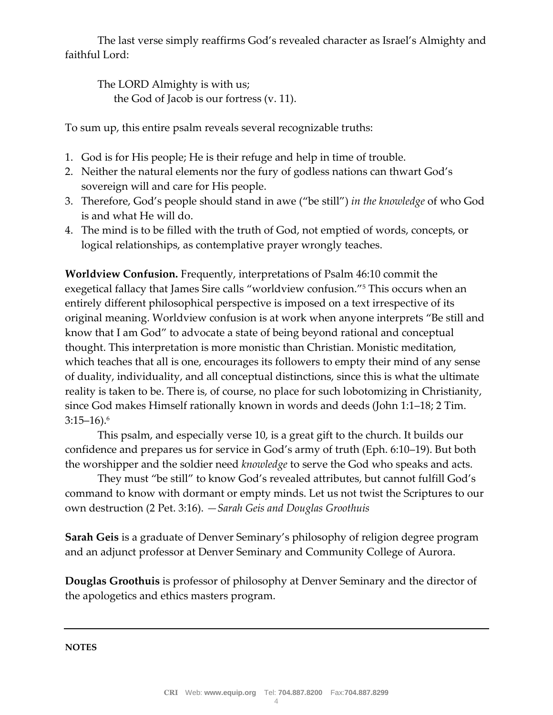The last verse simply reaffirms God's revealed character as Israel's Almighty and faithful Lord:

The LORD Almighty is with us; the God of Jacob is our fortress (v. 11).

To sum up, this entire psalm reveals several recognizable truths:

- 1. God is for His people; He is their refuge and help in time of trouble.
- 2. Neither the natural elements nor the fury of godless nations can thwart God's sovereign will and care for His people.
- 3. Therefore, God's people should stand in awe ("be still") *in the knowledge* of who God is and what He will do.
- 4. The mind is to be filled with the truth of God, not emptied of words, concepts, or logical relationships, as contemplative prayer wrongly teaches.

**Worldview Confusion.** Frequently, interpretations of Psalm 46:10 commit the exegetical fallacy that James Sire calls "worldview confusion."<sup>5</sup> This occurs when an entirely different philosophical perspective is imposed on a text irrespective of its original meaning. Worldview confusion is at work when anyone interprets "Be still and know that I am God" to advocate a state of being beyond rational and conceptual thought. This interpretation is more monistic than Christian. Monistic meditation, which teaches that all is one, encourages its followers to empty their mind of any sense of duality, individuality, and all conceptual distinctions, since this is what the ultimate reality is taken to be. There is, of course, no place for such lobotomizing in Christianity, since God makes Himself rationally known in words and deeds (John 1:1–18; 2 Tim.  $3:15-16$ .<sup>6</sup>

This psalm, and especially verse 10, is a great gift to the church. It builds our confidence and prepares us for service in God's army of truth (Eph. 6:10–19). But both the worshipper and the soldier need *knowledge* to serve the God who speaks and acts.

They must "be still" to know God's revealed attributes, but cannot fulfill God's command to know with dormant or empty minds. Let us not twist the Scriptures to our own destruction (2 Pet. 3:16). *—Sarah Geis and Douglas Groothuis*

**Sarah Geis** is a graduate of Denver Seminary's philosophy of religion degree program and an adjunct professor at Denver Seminary and Community College of Aurora.

**Douglas Groothuis** is professor of philosophy at Denver Seminary and the director of the apologetics and ethics masters program.

**NOTES**